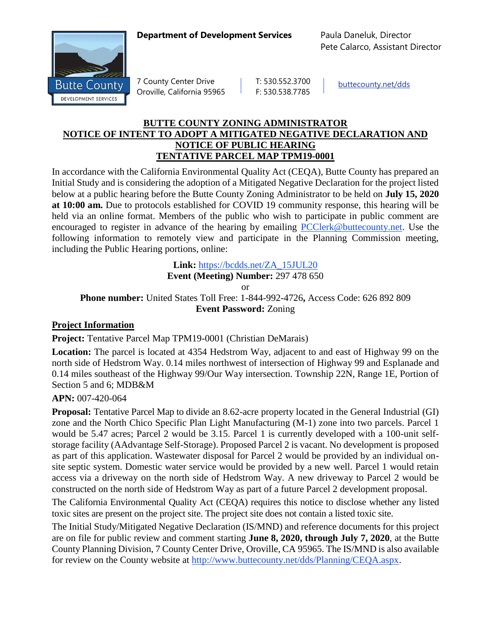**Department of Development Services** Paula Daneluk, Director



7 County Center Drive | T: 530.552.3700 Oroville, California 95965 F: 530.538.7785

[buttecounty.net/dds](http://www.buttecounty.net/dds/home.aspx)

Pete Calarco, Assistant Director

## **BUTTE COUNTY ZONING ADMINISTRATOR NOTICE OF INTENT TO ADOPT A MITIGATED NEGATIVE DECLARATION AND NOTICE OF PUBLIC HEARING TENTATIVE PARCEL MAP TPM19-0001**

In accordance with the California Environmental Quality Act (CEQA), Butte County has prepared an Initial Study and is considering the adoption of a Mitigated Negative Declaration for the project listed below at a public hearing before the Butte County Zoning Administrator to be held on **July 15, 2020 at 10:00 am.** Due to protocols established for COVID 19 community response, this hearing will be held via an online format. Members of the public who wish to participate in public comment are encouraged to register in advance of the hearing by emailing [PCClerk@buttecounty.net.](mailto:PCClerk@buttecounty.net) Use the following information to remotely view and participate in the Planning Commission meeting, including the Public Hearing portions, online:

**Link:** [https://bcdds.net/ZA\\_15JUL20](https://bcdds.net/ZA_15JUL20)

**Event (Meeting) Number:** 297 478 650

or

**Phone number:** United States Toll Free: 1-844-992-4726**,** Access Code: 626 892 809 **Event Password:** Zoning

## **Project Information**

**Project:** Tentative Parcel Map TPM19-0001 (Christian DeMarais)

**Location:** The parcel is located at 4354 Hedstrom Way, adjacent to and east of Highway 99 on the north side of Hedstrom Way. 0.14 miles northwest of intersection of Highway 99 and Esplanade and 0.14 miles southeast of the Highway 99/Our Way intersection. Township 22N, Range 1E, Portion of Section 5 and 6; MDB&M

## **APN:** 007-420-064

**Proposal:** Tentative Parcel Map to divide an 8.62-acre property located in the General Industrial (GI) zone and the North Chico Specific Plan Light Manufacturing (M-1) zone into two parcels. Parcel 1 would be 5.47 acres; Parcel 2 would be 3.15. Parcel 1 is currently developed with a 100-unit selfstorage facility (AAdvantage Self-Storage). Proposed Parcel 2 is vacant. No development is proposed as part of this application. Wastewater disposal for Parcel 2 would be provided by an individual onsite septic system. Domestic water service would be provided by a new well. Parcel 1 would retain access via a driveway on the north side of Hedstrom Way. A new driveway to Parcel 2 would be constructed on the north side of Hedstrom Way as part of a future Parcel 2 development proposal.

The California Environmental Quality Act (CEQA) requires this notice to disclose whether any listed toxic sites are present on the project site. The project site does not contain a listed toxic site.

The Initial Study/Mitigated Negative Declaration (IS/MND) and reference documents for this project are on file for public review and comment starting **June 8, 2020, through July 7, 2020**, at the Butte County Planning Division, 7 County Center Drive, Oroville, CA 95965. The IS/MND is also available for review on the County website at [http://www.buttecounty.net/dds/Planning/CEQA.aspx.](http://www.buttecounty.net/dds/Planning/CEQA.aspx)